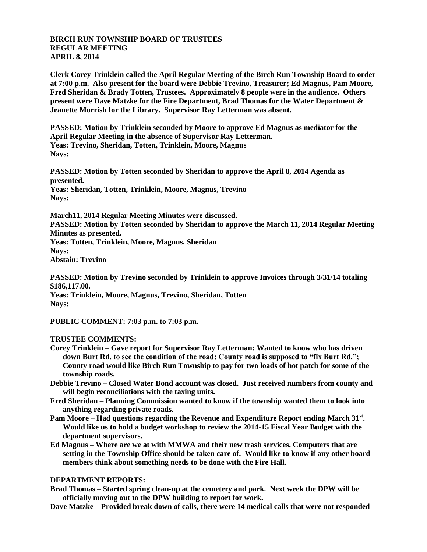## **BIRCH RUN TOWNSHIP BOARD OF TRUSTEES REGULAR MEETING APRIL 8, 2014**

**Clerk Corey Trinklein called the April Regular Meeting of the Birch Run Township Board to order at 7:00 p.m. Also present for the board were Debbie Trevino, Treasurer; Ed Magnus, Pam Moore, Fred Sheridan & Brady Totten, Trustees. Approximately 8 people were in the audience. Others present were Dave Matzke for the Fire Department, Brad Thomas for the Water Department & Jeanette Morrish for the Library. Supervisor Ray Letterman was absent.**

**PASSED: Motion by Trinklein seconded by Moore to approve Ed Magnus as mediator for the April Regular Meeting in the absence of Supervisor Ray Letterman. Yeas: Trevino, Sheridan, Totten, Trinklein, Moore, Magnus Nays:**

**PASSED: Motion by Totten seconded by Sheridan to approve the April 8, 2014 Agenda as presented. Yeas: Sheridan, Totten, Trinklein, Moore, Magnus, Trevino Nays:** 

**March11, 2014 Regular Meeting Minutes were discussed.**

**PASSED: Motion by Totten seconded by Sheridan to approve the March 11, 2014 Regular Meeting Minutes as presented.**

**Yeas: Totten, Trinklein, Moore, Magnus, Sheridan Nays:** 

**Abstain: Trevino**

**PASSED: Motion by Trevino seconded by Trinklein to approve Invoices through 3/31/14 totaling \$186,117.00.**

**Yeas: Trinklein, Moore, Magnus, Trevino, Sheridan, Totten Nays:**

**PUBLIC COMMENT: 7:03 p.m. to 7:03 p.m.**

## **TRUSTEE COMMENTS:**

- **Corey Trinklein – Gave report for Supervisor Ray Letterman: Wanted to know who has driven down Burt Rd. to see the condition of the road; County road is supposed to "fix Burt Rd."; County road would like Birch Run Township to pay for two loads of hot patch for some of the township roads.**
- **Debbie Trevino – Closed Water Bond account was closed. Just received numbers from county and will begin reconciliations with the taxing units.**
- **Fred Sheridan – Planning Commission wanted to know if the township wanted them to look into anything regarding private roads.**
- **Pam Moore – Had questions regarding the Revenue and Expenditure Report ending March 31st . Would like us to hold a budget workshop to review the 2014-15 Fiscal Year Budget with the department supervisors.**
- **Ed Magnus – Where are we at with MMWA and their new trash services. Computers that are setting in the Township Office should be taken care of. Would like to know if any other board members think about something needs to be done with the Fire Hall.**

## **DEPARTMENT REPORTS:**

**Brad Thomas – Started spring clean-up at the cemetery and park. Next week the DPW will be officially moving out to the DPW building to report for work.**

**Dave Matzke – Provided break down of calls, there were 14 medical calls that were not responded**